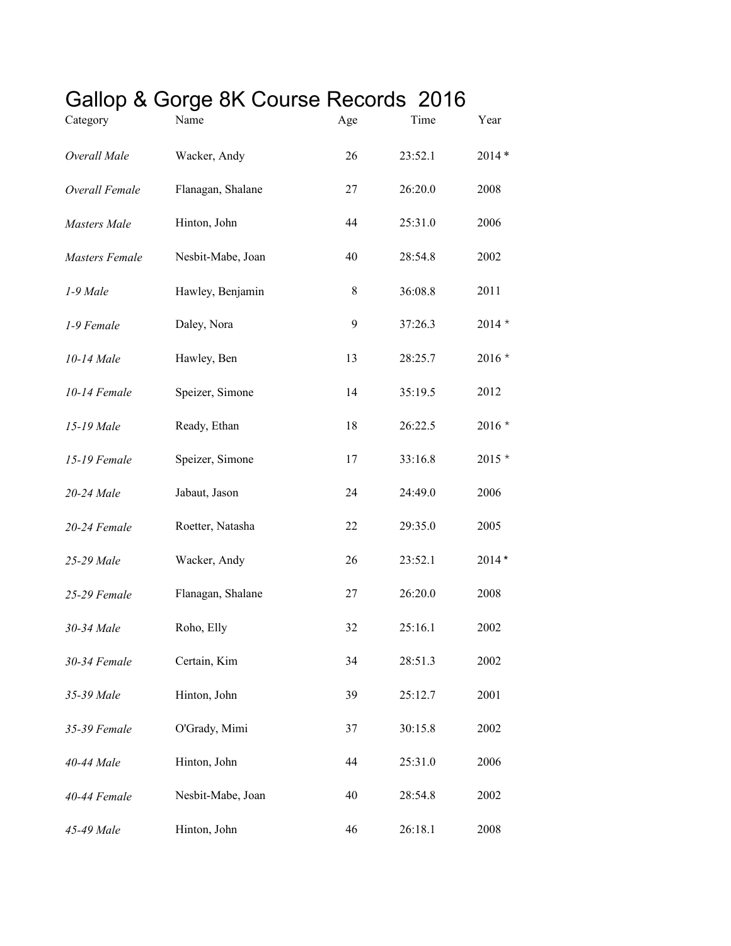## Gallop & Gorge 8K Course Records 2016

| Category              | Name              | Age | Time    | Year     |
|-----------------------|-------------------|-----|---------|----------|
| Overall Male          | Wacker, Andy      | 26  | 23:52.1 | $2014*$  |
| Overall Female        | Flanagan, Shalane | 27  | 26:20.0 | 2008     |
| <b>Masters</b> Male   | Hinton, John      | 44  | 25:31.0 | 2006     |
| <b>Masters Female</b> | Nesbit-Mabe, Joan | 40  | 28:54.8 | 2002     |
| 1-9 Male              | Hawley, Benjamin  | 8   | 36:08.8 | 2011     |
| 1-9 Female            | Daley, Nora       | 9   | 37:26.3 | $2014 *$ |
| 10-14 Male            | Hawley, Ben       | 13  | 28:25.7 | $2016*$  |
| 10-14 Female          | Speizer, Simone   | 14  | 35:19.5 | 2012     |
| 15-19 Male            | Ready, Ethan      | 18  | 26:22.5 | $2016 *$ |
| 15-19 Female          | Speizer, Simone   | 17  | 33:16.8 | $2015*$  |
| 20-24 Male            | Jabaut, Jason     | 24  | 24:49.0 | 2006     |
| 20-24 Female          | Roetter, Natasha  | 22  | 29:35.0 | 2005     |
| 25-29 Male            | Wacker, Andy      | 26  | 23:52.1 | $2014*$  |
| 25-29 Female          | Flanagan, Shalane | 27  | 26:20.0 | 2008     |
| 30-34 Male            | Roho, Elly        | 32  | 25:16.1 | 2002     |
| 30-34 Female          | Certain, Kim      | 34  | 28:51.3 | 2002     |
| 35-39 Male            | Hinton, John      | 39  | 25:12.7 | 2001     |
| 35-39 Female          | O'Grady, Mimi     | 37  | 30:15.8 | 2002     |
| 40-44 Male            | Hinton, John      | 44  | 25:31.0 | 2006     |
| 40-44 Female          | Nesbit-Mabe, Joan | 40  | 28:54.8 | 2002     |
| 45-49 Male            | Hinton, John      | 46  | 26:18.1 | 2008     |